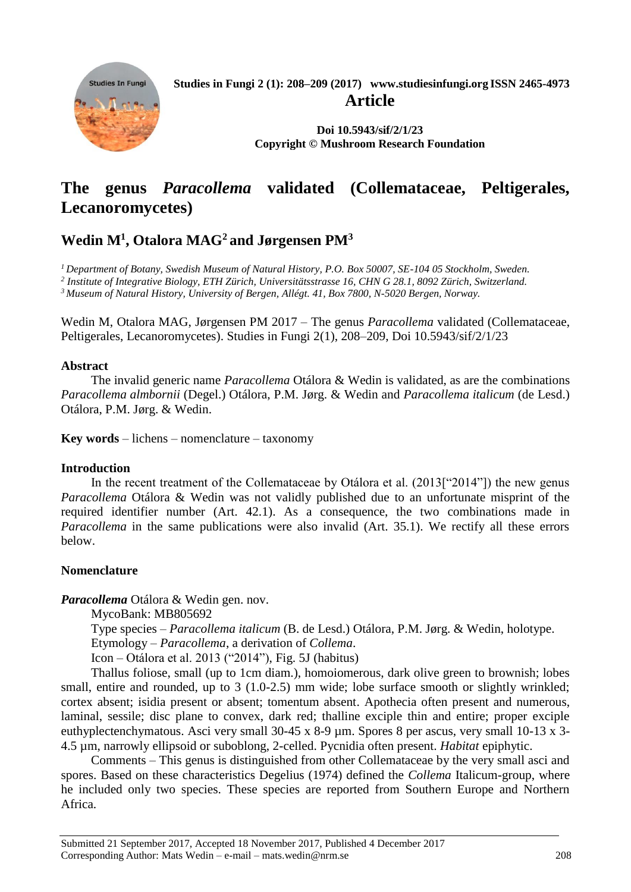**Studies In Fungi Studies in Fungi 2 (1): 208–209 (2017) [www.studiesinfungi.org](http://www.studiesinfungi.org/) ISSN 2465-4973 Article Doi 10.5943/sif/2/1/23 Copyright © Mushroom Research Foundation**

# **The genus** *Paracollema* **validated (Collemataceae, Peltigerales, Lecanoromycetes)**

## **Wedin M<sup>1</sup> , Otalora MAG<sup>2</sup> and Jørgensen PM<sup>3</sup>**

*<sup>1</sup>Department of Botany, Swedish Museum of Natural History, P.O. Box 50007, SE-104 05 Stockholm, Sweden. 2 Institute of Integrative Biology, ETH Zürich, Universitätsstrasse 16, CHN G 28.1, 8092 Zürich, Switzerland. <sup>3</sup> Museum of Natural History, University of Bergen, Allégt. 41, Box 7800, N-5020 Bergen, Norway.*

Wedin M, Otalora MAG, Jørgensen PM 2017 – The genus *Paracollema* validated (Collemataceae,

Peltigerales, Lecanoromycetes). Studies in Fungi 2(1), 208–209, Doi 10.5943/sif/2/1/23

## **Abstract**

The invalid generic name *Paracollema* Otálora & Wedin is validated, as are the combinations *Paracollema almbornii* (Degel.) Otálora, P.M. Jørg. & Wedin and *Paracollema italicum* (de Lesd.) Otálora, P.M. Jørg. & Wedin.

**Key words** – lichens – nomenclature – taxonomy

## **Introduction**

In the recent treatment of the Collemataceae by Otálora et al. (2013["2014"]) the new genus *Paracollema* Otálora & Wedin was not validly published due to an unfortunate misprint of the required identifier number (Art. 42.1). As a consequence, the two combinations made in *Paracollema* in the same publications were also invalid (Art. 35.1). We rectify all these errors below.

## **Nomenclature**

*Paracollema* Otálora & Wedin gen. nov.

MycoBank: MB805692

Type species – *Paracollema italicum* (B. de Lesd.) Otálora, P.M. Jørg. & Wedin, holotype. Etymology – *Paracollema*, a derivation of *Collema*.

Icon – Otálora et al. 2013 ("2014"), Fig. 5J (habitus)

Thallus foliose, small (up to 1cm diam.), homoiomerous, dark olive green to brownish; lobes small, entire and rounded, up to 3 (1.0-2.5) mm wide; lobe surface smooth or slightly wrinkled; cortex absent; isidia present or absent; tomentum absent. Apothecia often present and numerous, laminal, sessile; disc plane to convex, dark red; thalline exciple thin and entire; proper exciple euthyplectenchymatous. Asci very small 30-45 x 8-9  $\mu$ m. Spores 8 per ascus, very small 10-13 x 3-4.5 µm, narrowly ellipsoid or suboblong, 2-celled. Pycnidia often present. *Habitat* epiphytic.

Comments – This genus is distinguished from other Collemataceae by the very small asci and spores. Based on these characteristics Degelius (1974) defined the *Collema* Italicum-group, where he included only two species. These species are reported from Southern Europe and Northern Africa.